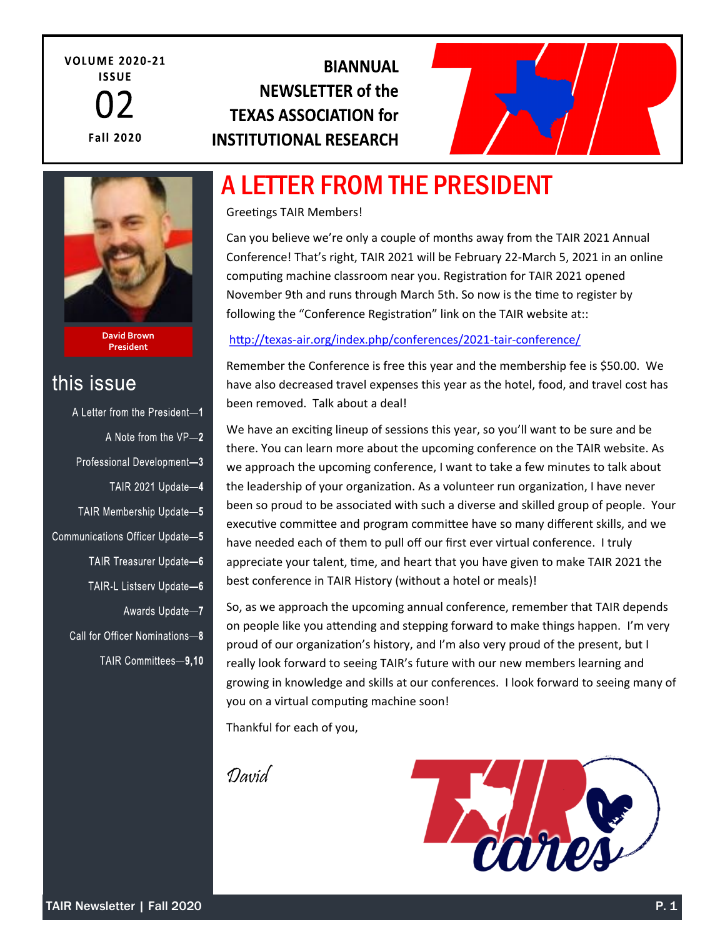**VOLUME 2020-21 ISSUE Fall 2020** 

### **BIANNUAL NEWSLETTER of the TEXAS ASSOCIATION for INSTITUTIONAL RESEARCH**



## A LETTER FROM THE PRESIDENT

Greetings TAIR Members!

Can you believe we're only a couple of months away from the TAIR 2021 Annual Conference! That's right, TAIR 2021 will be February 22-March 5, 2021 in an online computing machine classroom near you. Registration for TAIR 2021 opened November 9th and runs through March 5th. So now is the time to register by following the "Conference Registration" link on the TAIR website at::

#### http://texas-[air.org/index.php/conferences/2021](http://texas-air.org/index.php/conferences/2021-tair-conference/)-tair-conference/

Remember the Conference is free this year and the membership fee is \$50.00. We have also decreased travel expenses this year as the hotel, food, and travel cost has been removed. Talk about a deal!

We have an exciting lineup of sessions this year, so you'll want to be sure and be there. You can learn more about the upcoming conference on the TAIR website. As we approach the upcoming conference, I want to take a few minutes to talk about the leadership of your organization. As a volunteer run organization, I have never been so proud to be associated with such a diverse and skilled group of people. Your executive committee and program committee have so many different skills, and we have needed each of them to pull off our first ever virtual conference. I truly appreciate your talent, time, and heart that you have given to make TAIR 2021 the best conference in TAIR History (without a hotel or meals)!

So, as we approach the upcoming annual conference, remember that TAIR depends on people like you attending and stepping forward to make things happen. I'm very proud of our organization's history, and I'm also very proud of the present, but I really look forward to seeing TAIR's future with our new members learning and growing in knowledge and skills at our conferences. I look forward to seeing many of you on a virtual computing machine soon!

Thankful for each of you,

David



A Letter from the President-1 A Note from the VP-2 Professional Development-3

this issue

TAIR Membership Update-5

TAIR 2021 Update-4

Communications Officer Update-5

**David Brown President**

- TAIR Treasurer Update-6
- TAIR-L Listserv Update-6
- Awards Update-7
- Call for Officer Nominations-8
	- TAIR Committees-9.10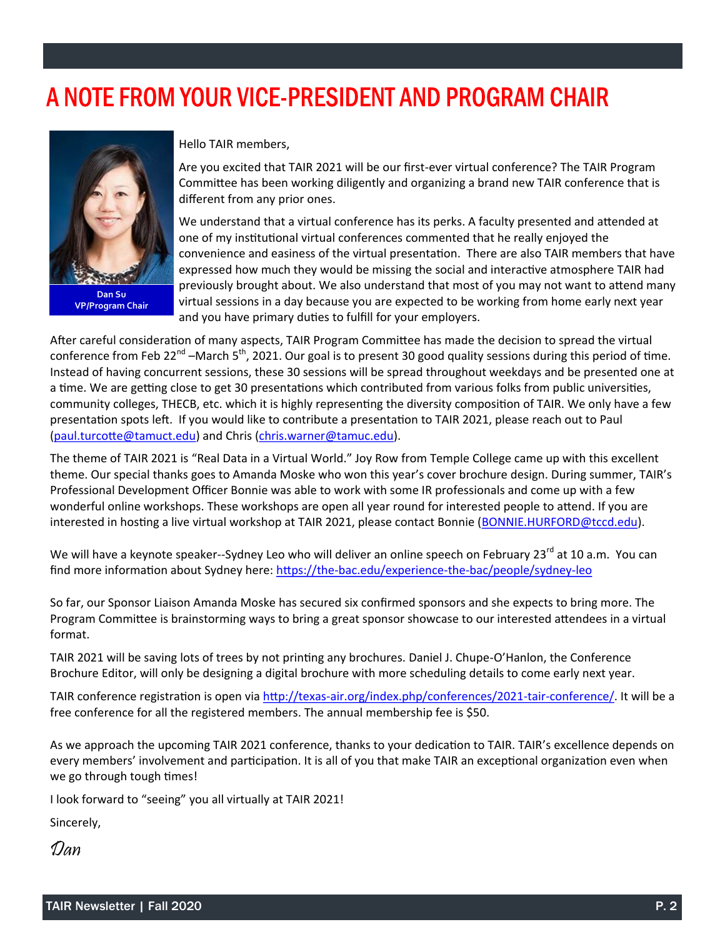## A NOTE FROM YOUR VICE-PRESIDENT AND PROGRAM CHAIR



**Dan Su VP/Program Chair**

Hello TAIR members,

Are you excited that TAIR 2021 will be our first-ever virtual conference? The TAIR Program Committee has been working diligently and organizing a brand new TAIR conference that is different from any prior ones.

We understand that a virtual conference has its perks. A faculty presented and attended at one of my institutional virtual conferences commented that he really enjoyed the convenience and easiness of the virtual presentation. There are also TAIR members that have expressed how much they would be missing the social and interactive atmosphere TAIR had previously brought about. We also understand that most of you may not want to attend many virtual sessions in a day because you are expected to be working from home early next year and you have primary duties to fulfill for your employers.

After careful consideration of many aspects, TAIR Program Committee has made the decision to spread the virtual conference from Feb 22<sup>nd</sup> –March 5<sup>th</sup>, 2021. Our goal is to present 30 good quality sessions during this period of time. Instead of having concurrent sessions, these 30 sessions will be spread throughout weekdays and be presented one at a time. We are getting close to get 30 presentations which contributed from various folks from public universities, community colleges, THECB, etc. which it is highly representing the diversity composition of TAIR. We only have a few presentation spots left. If you would like to contribute a presentation to TAIR 2021, please reach out to Paul ([paul.turcotte@tamuct.edu\)](mailto:paul.turcotte@tamuct.edu) and Chris ([chris.warner@tamuc.edu\).](mailto:chris.warner@tamuc.edu)

The theme of TAIR 2021 is "Real Data in a Virtual World." Joy Row from Temple College came up with this excellent theme. Our special thanks goes to Amanda Moske who won this year's cover brochure design. During summer, TAIR's Professional Development Officer Bonnie was able to work with some IR professionals and come up with a few wonderful online workshops. These workshops are open all year round for interested people to attend. If you are interested in hosting a live virtual workshop at TAIR 2021, please contact Bonnie ([BONNIE.HURFORD@tccd.edu\)](mailto:BONNIE.HURFORD@tccd.edu).

We will have a keynote speaker--Sydney Leo who will deliver an online speech on February 23<sup>rd</sup> at 10 a.m. You can find more information about Sydney here: https://the-[bac.edu/experience](https://urldefense.proofpoint.com/v2/url?u=https-3A__the-2Dbac.edu_experience-2Dthe-2Dbac_people_sydney-2Dleo&d=DwMFAg&c=oqyuZuih6ykib6aKiBq22_bich4AVfYGoLertJN0bEc&r=xmgaOvGElrnqXgHzvNsNPw&m=4lS7MHeYBVmmVrkjmZT3X7Zw5C0XTolfFaVhqVCPquA&s=w4P3ESygYKqTCKK4T0COK)-the-bac/people/sydney-leo

So far, our Sponsor Liaison Amanda Moske has secured six confirmed sponsors and she expects to bring more. The Program Committee is brainstorming ways to bring a great sponsor showcase to our interested attendees in a virtual format.

TAIR 2021 will be saving lots of trees by not printing any brochures. Daniel J. Chupe-O'Hanlon, the Conference Brochure Editor, will only be designing a digital brochure with more scheduling details to come early next year.

TAIR conference registration is open via http://texas-[air.org/index.php/conferences/2021](http://texas-air.org/index.php/conferences/2021-tair-conference/)-tair-conference/. It will be a free conference for all the registered members. The annual membership fee is \$50.

As we approach the upcoming TAIR 2021 conference, thanks to your dedication to TAIR. TAIR's excellence depends on every members' involvement and participation. It is all of you that make TAIR an exceptional organization even when we go through tough times!

I look forward to "seeing" you all virtually at TAIR 2021!

Sincerely,

Dan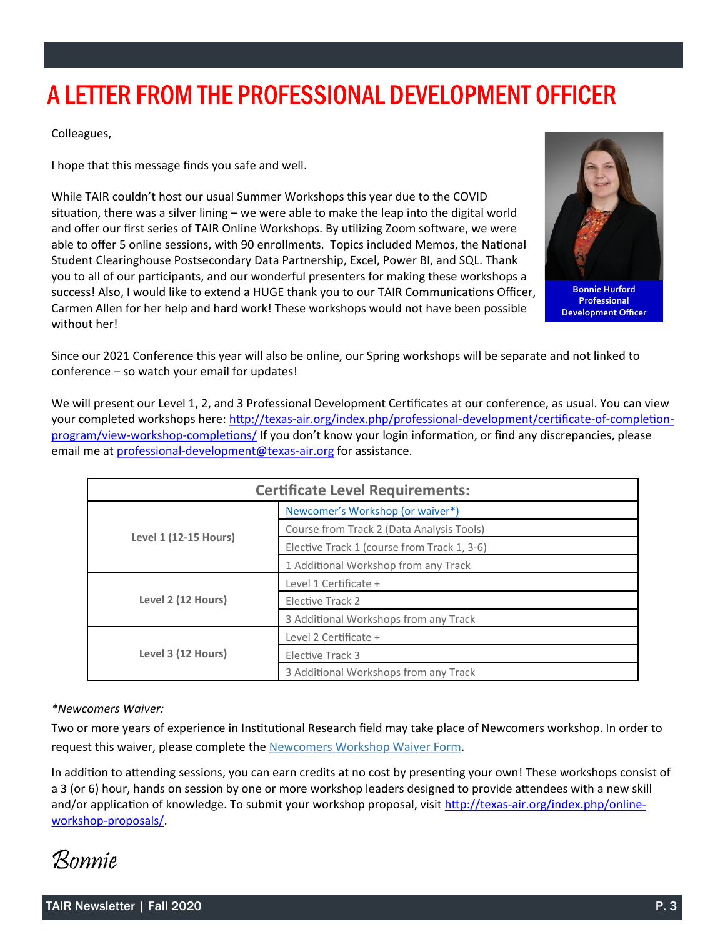## A LETTER FROM THE PROFESSIONAL DEVELOPMENT OFFICER

Colleagues,

I hope that this message finds you safe and well.

While TAIR couldn't host our usual Summer Workshops this year due to the COVID situation, there was a silver lining – we were able to make the leap into the digital world and offer our first series of TAIR Online Workshops. By utilizing Zoom software, we were able to offer 5 online sessions, with 90 enrollments. Topics included Memos, the National Student Clearinghouse Postsecondary Data Partnership, Excel, Power BI, and SQL. Thank you to all of our participants, and our wonderful presenters for making these workshops a success! Also, I would like to extend a HUGE thank you to our TAIR Communications Officer, Carmen Allen for her help and hard work! These workshops would not have been possible without her!



**Bonnie Hurford Professional Development Officer**

Since our 2021 Conference this year will also be online, our Spring workshops will be separate and not linked to conference – so watch your email for updates!

We will present our Level 1, 2, and 3 Professional Development Certificates at our conference, as usual. You can view your completed workshops here: http://texas-[air.org/index.php/professional](http://texas-air.org/index.php/professional-development/certificate-of-completion-program/view-workshop-completions/)-development/certificate-of-completion[program/view](http://texas-air.org/index.php/professional-development/certificate-of-completion-program/view-workshop-completions/)-workshop-completions/ If you don't know your login information, or find any discrepancies, please email me at professional-[development@texas](mailto:professional-development@texas-air.org)-air.org for assistance.

| <b>Certificate Level Requirements:</b> |                                             |  |
|----------------------------------------|---------------------------------------------|--|
| <b>Level 1 (12-15 Hours)</b>           | Newcomer's Workshop (or waiver*)            |  |
|                                        | Course from Track 2 (Data Analysis Tools)   |  |
|                                        | Elective Track 1 (course from Track 1, 3-6) |  |
|                                        | 1 Additional Workshop from any Track        |  |
| Level 2 (12 Hours)                     | Level 1 Certificate +                       |  |
|                                        | Elective Track 2                            |  |
|                                        | 3 Additional Workshops from any Track       |  |
| Level 3 (12 Hours)                     | Level 2 Certificate +                       |  |
|                                        | Elective Track 3                            |  |
|                                        | 3 Additional Workshops from any Track       |  |

#### *\*Newcomers Waiver:*

Two or more years of experience in Institutional Research field may take place of Newcomers workshop. In order to request this waiver, please complete the [Newcomers Workshop Waiver Form.](http://texas-air.org/assets/pdf/Newcomers-Workshop-Waiver-Request.pdf)

In addition to attending sessions, you can earn credits at no cost by presenting your own! These workshops consist of a 3 (or 6) hour, hands on session by one or more workshop leaders designed to provide attendees with a new skill and/or application of knowledge. To submit your workshop proposal, visit http://texas-[air.org/index.php/online](http://texas-air.org/index.php/online-workshop-proposals/)workshop-[proposals/.](http://texas-air.org/index.php/online-workshop-proposals/)

Bonnie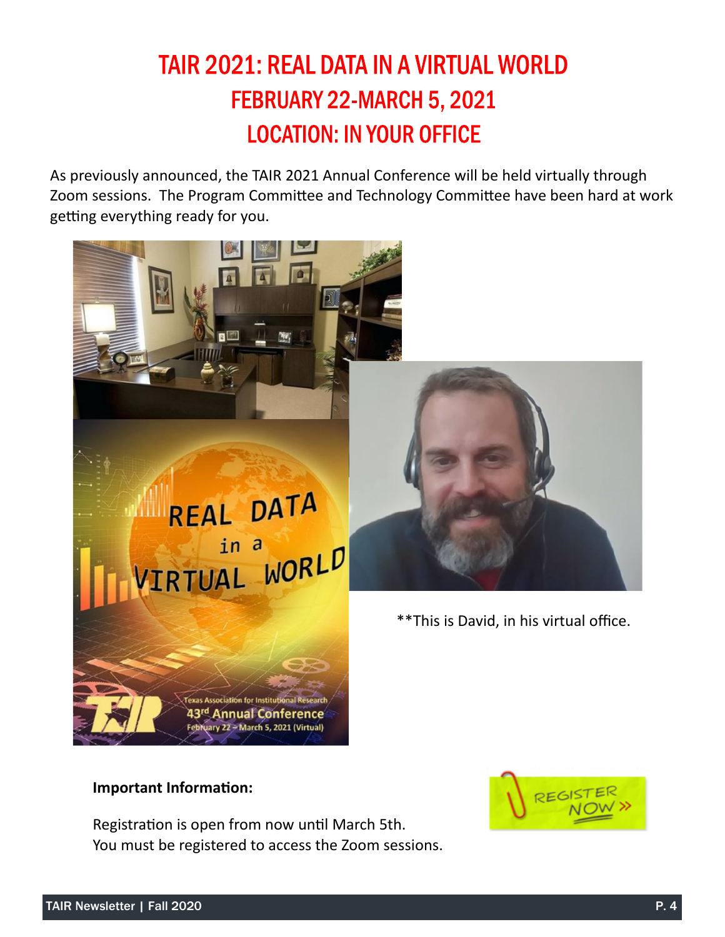## **TAIR 2021: REAL DATA IN A VIRTUAL WORLD** FEBRUARY 22-MARCH 5, 2021 **LOCATION: IN YOUR OFFICE**

As previously announced, the TAIR 2021 Annual Conference will be held virtually through Zoom sessions. The Program Committee and Technology Committee have been hard at work getting everything ready for you.



### **Important Information:**

Registration is open from now until March 5th. You must be registered to access the Zoom sessions.

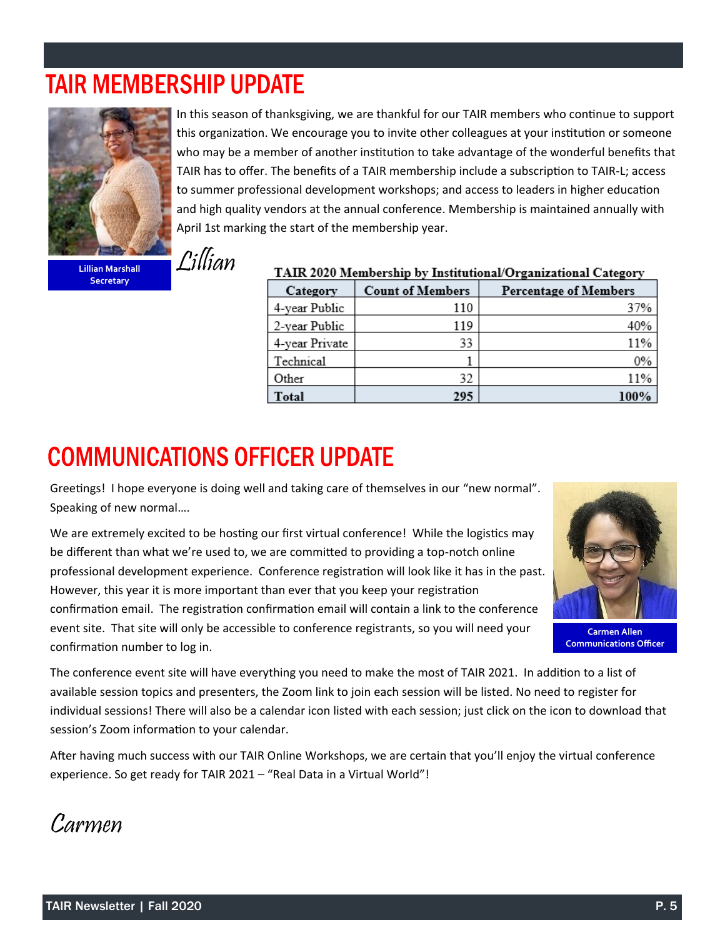## **TAIR MEMBERSHIP UPDATE**



In this season of thanksgiving, we are thankful for our TAIR members who continue to support this organization. We encourage you to invite other colleagues at your institution or someone who may be a member of another institution to take advantage of the wonderful benefits that TAIR has to offer. The benefits of a TAIR membership include a subscription to TAIR‐L; access to summer professional development workshops; and access to leaders in higher education and high quality vendors at the annual conference. Membership is maintained annually with April 1st marking the start of the membership year.

**Secretary**

| TAIR 2020 Membership by Institutional/Organizational Category |                         |                              |
|---------------------------------------------------------------|-------------------------|------------------------------|
| Category                                                      | <b>Count of Members</b> | <b>Percentage of Members</b> |
| 4-year Public                                                 | 110                     | 37%                          |
| 2-year Public                                                 | 119                     | 40%                          |
| 4-year Private                                                | 33                      | 11%                          |
| Technical                                                     |                         | $0\%$                        |
| Other                                                         | 32                      | 11%                          |
| Total                                                         | 295                     | 100%                         |

## **COMMUNICATIONS OFFICER UPDATE**

Greetings! I hope everyone is doing well and taking care of themselves in our "new normal". Speaking of new normal….

We are extremely excited to be hosting our first virtual conference! While the logistics may be different than what we're used to, we are committed to providing a top-notch online professional development experience. Conference registration will look like it has in the past. However, this year it is more important than ever that you keep your registration confirmation email. The registration confirmation email will contain a link to the conference event site. That site will only be accessible to conference registrants, so you will need your confirmation number to log in.



**Carmen Allen Communications Officer**

The conference event site will have everything you need to make the most of TAIR 2021. In addition to a list of available session topics and presenters, the Zoom link to join each session will be listed. No need to register for individual sessions! There will also be a calendar icon listed with each session; just click on the icon to download that session's Zoom information to your calendar.

After having much success with our TAIR Online Workshops, we are certain that you'll enjoy the virtual conference experience. So get ready for TAIR 2021 – "Real Data in a Virtual World"!

Carmen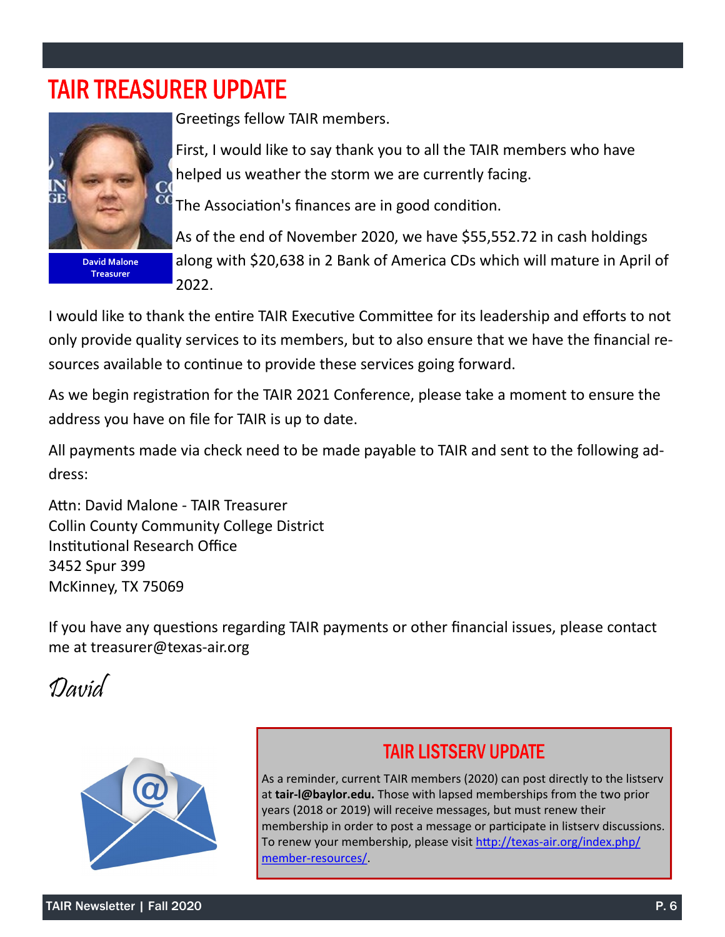## **TAIR TREASURER UPDATE**



**David Malone Treasurer**

Greetings fellow TAIR members.

First, I would like to say thank you to all the TAIR members who have helped us weather the storm we are currently facing.

The Association's finances are in good condition.

As of the end of November 2020, we have \$55,552.72 in cash holdings along with \$20,638 in 2 Bank of America CDs which will mature in April of 2022.

I would like to thank the entire TAIR Executive Committee for its leadership and efforts to not only provide quality services to its members, but to also ensure that we have the financial resources available to continue to provide these services going forward.

As we begin registration for the TAIR 2021 Conference, please take a moment to ensure the address you have on file for TAIR is up to date.

All payments made via check need to be made payable to TAIR and sent to the following address:

Attn: David Malone - TAIR Treasurer Collin County Community College District Institutional Research Office 3452 Spur 399 McKinney, TX 75069

If you have any questions regarding TAIR payments or other financial issues, please contact me at treasurer@texas-air.org





### **TAIR LISTSERV UPDATE**

As a reminder, current TAIR members (2020) can post directly to the listserv at **tair-l@baylor.edu.** Those with lapsed memberships from the two prior years (2018 or 2019) will receive messages, but must renew their membership in order to post a message or participate in listserv discussions. To renew your membership, please visit http://texas-[air.org/index.php/](http://texas-air.org/index.php/member-resources/) member-[resources/.](http://texas-air.org/index.php/member-resources/)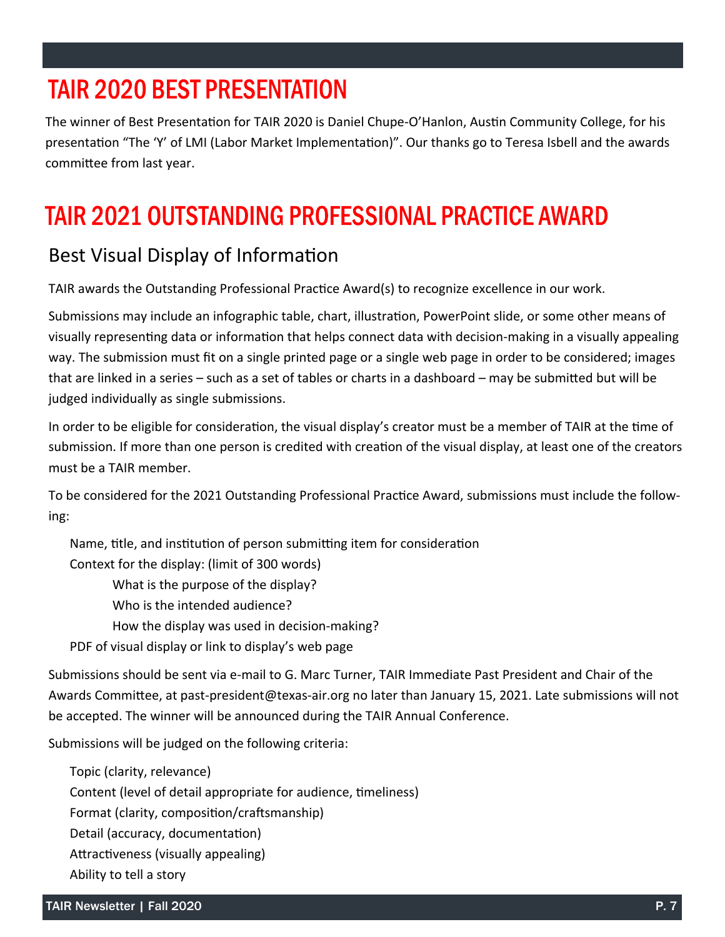## **TAIR 2020 BEST PRESENTATION**

The winner of Best Presentation for TAIR 2020 is Daniel Chupe-O'Hanlon, Austin Community College, for his presentation "The 'Y' of LMI (Labor Market Implementation)". Our thanks go to Teresa Isbell and the awards committee from last year.

## **TAIR 2021 OUTSTANDING PROFESSIONAL PRACTICE AWARD**

### Best Visual Display of Information

TAIR awards the Outstanding Professional Practice Award(s) to recognize excellence in our work.

Submissions may include an infographic table, chart, illustration, PowerPoint slide, or some other means of visually representing data or information that helps connect data with decision-making in a visually appealing way. The submission must fit on a single printed page or a single web page in order to be considered; images that are linked in a series – such as a set of tables or charts in a dashboard – may be submitted but will be judged individually as single submissions.

In order to be eligible for consideration, the visual display's creator must be a member of TAIR at the time of submission. If more than one person is credited with creation of the visual display, at least one of the creators must be a TAIR member.

To be considered for the 2021 Outstanding Professional Practice Award, submissions must include the following:

Name, title, and institution of person submitting item for consideration Context for the display: (limit of 300 words) What is the purpose of the display? Who is the intended audience? How the display was used in decision-making? PDF of visual display or link to display's web page

Submissions should be sent via e-mail to G. Marc Turner, TAIR Immediate Past President and Chair of the Awards Committee, at past-president@texas-air.org no later than January 15, 2021. Late submissions will not be accepted. The winner will be announced during the TAIR Annual Conference.

Submissions will be judged on the following criteria:

Topic (clarity, relevance) Content (level of detail appropriate for audience, timeliness) Format (clarity, composition/craftsmanship) Detail (accuracy, documentation) Attractiveness (visually appealing) Ability to tell a story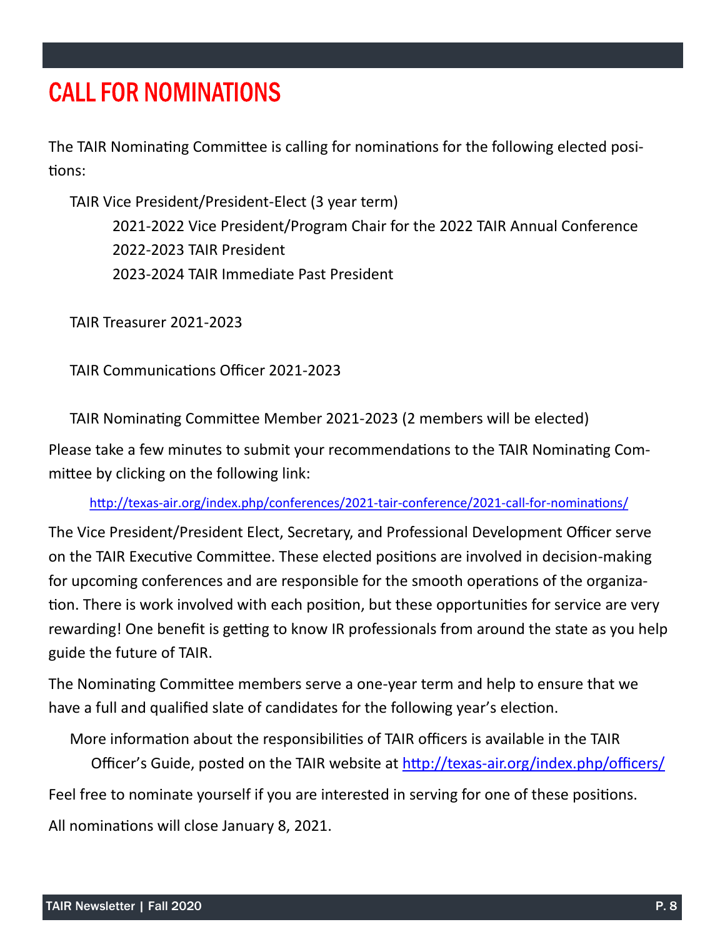## **CALL FOR NOMINATIONS**

The TAIR Nominating Committee is calling for nominations for the following elected positions:

TAIR Vice President/President-Elect (3 year term) -2022 Vice President/Program Chair for the 2022 TAIR Annual Conference -2023 TAIR President -2024 TAIR Immediate Past President

TAIR Treasurer 2021-2023

TAIR Communications Officer 2021-2023

TAIR Nominating Committee Member 2021-2023 (2 members will be elected)

Please take a few minutes to submit your recommendations to the TAIR Nominating Committee by clicking on the following link:

http://texas-[air.org/index.php/conferences/2021](https://nam04.safelinks.protection.outlook.com/?url=https%3A%2F%2Flinkprotect.cudasvc.com%2Furl%3Fa%3Dhttp%253a%252f%252ftexas-air.org%252findex.php%252fconferences%252f2021-tair-conference%252f2021-call-for-nominations%252f%26c%3DE%2C1%2Cqbe7UU76R0tS_L6nsUfo)-tair-conference/2021-call-for-nominations/

The Vice President/President Elect, Secretary, and Professional Development Officer serve on the TAIR Executive Committee. These elected positions are involved in decision-making for upcoming conferences and are responsible for the smooth operations of the organization. There is work involved with each position, but these opportunities for service are very rewarding! One benefit is getting to know IR professionals from around the state as you help guide the future of TAIR.

The Nominating Committee members serve a one-year term and help to ensure that we have a full and qualified slate of candidates for the following year's election.

More information about the responsibilities of TAIR officers is available in the TAIR Officer's Guide, posted on the TAIR website at http://texas-[air.org/index.php/officers/](http://texas-air.org/index.php/officers/) Feel free to nominate yourself if you are interested in serving for one of these positions. All nominations will close January 8, 2021.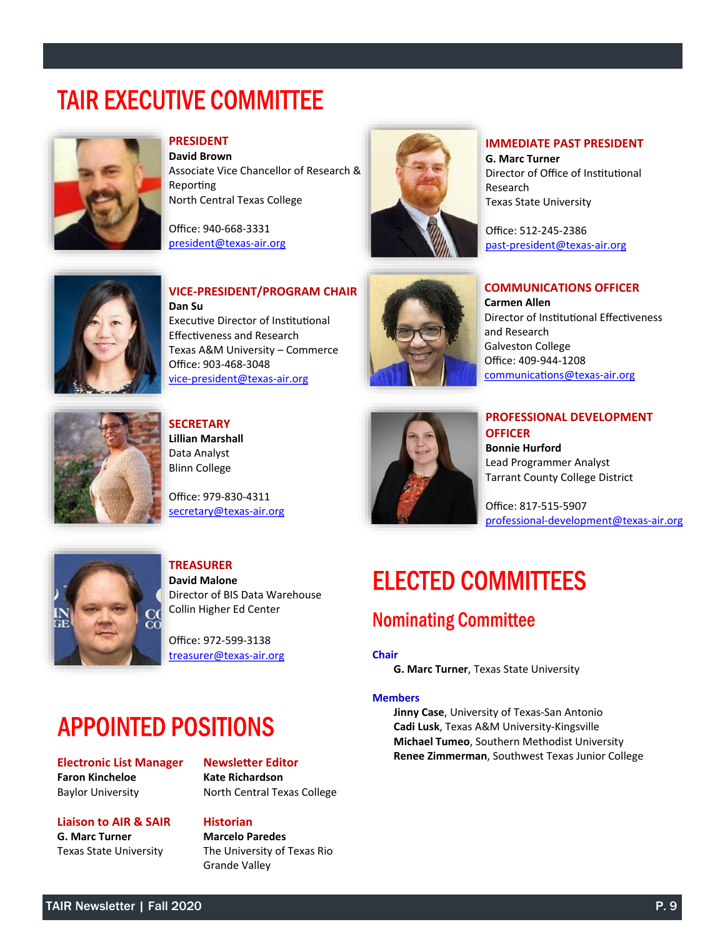## **TAIR EXECUTIVE COMMITTEE**



### **PRESIDENT**

**David Brown** Associate Vice Chancellor of Research & Reporting North Central Texas College

Office: 940-668-3331 [president@texas](mailto:president@texas-air.org)-air.org



### **IMMEDIATE PAST PRESIDENT**

**G. Marc Turner** Director of Office of Institutional Research Texas State University

Office: 512-245-2386 past-[president@texas](mailto:past-president@texas-air.org)-air.org



**VICE-PRESIDENT/PROGRAM CHAIR Dan Su** Executive Director of Institutional Effectiveness and Research Texas A&M University – Commerce Office: 903-468-3048 vice-[president@texas](mailto:vice-president@texas-air.org)-air.org



### **COMMUNICATIONS OFFICER**

**Carmen Allen** Director of Institutional Effectiveness and Research Galveston College Office: 409-944-1208 [communications@texas](mailto:communications@texas-air.org)-air.org



**SECRETARY Lillian Marshall** Data Analyst Blinn College

Office: 979-830-4311 [secretary@texas](mailto:secretary@texas-air.org)-air.org



**PROFESSIONAL DEVELOPMENT OFFICER Bonnie Hurford** Lead Programmer Analyst Tarrant County College District

Office: 817-515-5907 professional-[development@texas](mailto:professional-development@texas-air.org)-air.org



#### **TREASURER David Malone** Director of BIS Data Warehouse Collin Higher Ed Center

Office: 972-599-3138 [treasurer@texas](mailto:treasurer@texas-air.org)-air.org

# **ELECTED COMMITTEES**

### **Nominating Committee**

#### **Chair**

**G. Marc Turner**, Texas State University

#### **Members**

**Jinny Case**, University of Texas-San Antonio **Cadi Lusk**, Texas A&M University-Kingsville **Michael Tumeo**, Southern Methodist University **Renee Zimmerman**, Southwest Texas Junior College

## **APPOINTED POSITIONS**

**Electronic List Manager Faron Kincheloe** Baylor University

**Liaison to AIR & SAIR**

**G. Marc Turner** Texas State University

### **Newsletter Editor**

**Kate Richardson** North Central Texas College

### **Historian**

**Marcelo Paredes** The University of Texas Rio Grande Valley

TAIR Newsletter | Fall 2020 P. 9